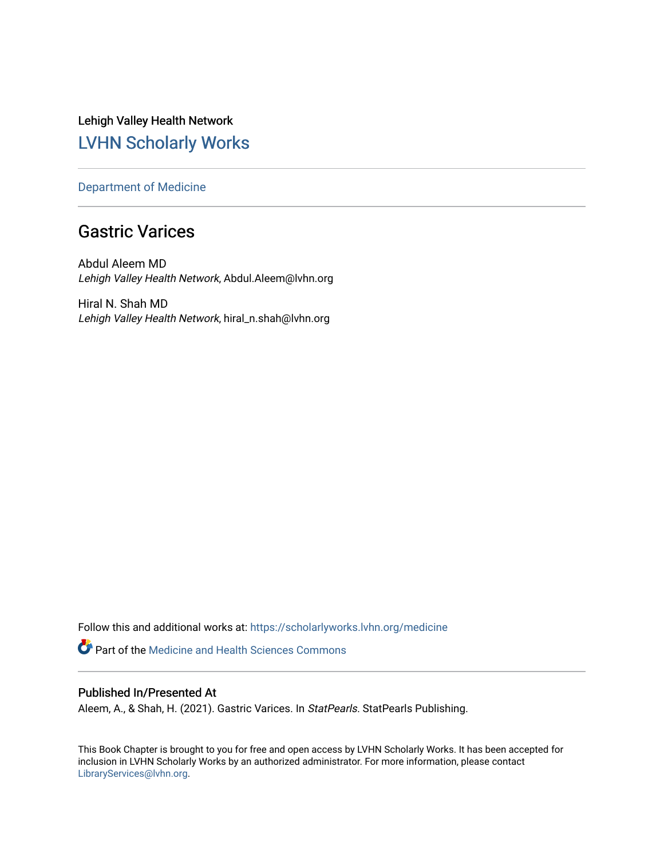Lehigh Valley Health Network [LVHN Scholarly Works](https://scholarlyworks.lvhn.org/)

[Department of Medicine](https://scholarlyworks.lvhn.org/medicine) 

# Gastric Varices

Abdul Aleem MD Lehigh Valley Health Network, Abdul.Aleem@lvhn.org

Hiral N. Shah MD Lehigh Valley Health Network, hiral\_n.shah@lvhn.org

Follow this and additional works at: [https://scholarlyworks.lvhn.org/medicine](https://scholarlyworks.lvhn.org/medicine?utm_source=scholarlyworks.lvhn.org%2Fmedicine%2F2030&utm_medium=PDF&utm_campaign=PDFCoverPages) 

**Part of the Medicine and Health Sciences Commons** 

## Published In/Presented At

Aleem, A., & Shah, H. (2021). Gastric Varices. In StatPearls. StatPearls Publishing.

This Book Chapter is brought to you for free and open access by LVHN Scholarly Works. It has been accepted for inclusion in LVHN Scholarly Works by an authorized administrator. For more information, please contact [LibraryServices@lvhn.org](mailto:LibraryServices@lvhn.org).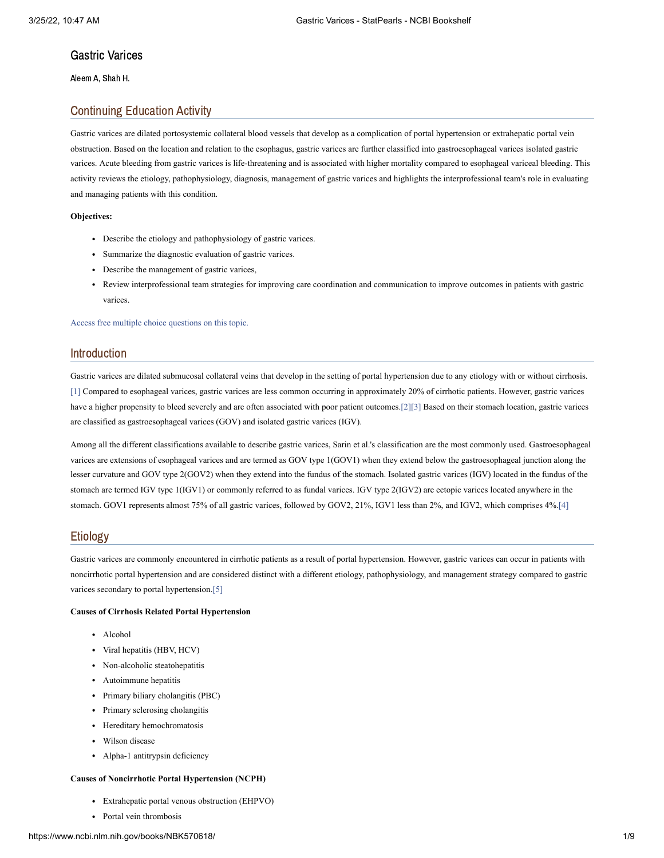### Gastric Varices

Aleem A, Shah H.

### Continuing Education Activity

Gastric varices are dilated portosystemic collateral blood vessels that develop as a complication of portal hypertension or extrahepatic portal vein obstruction. Based on the location and relation to the esophagus, gastric varices are further classified into gastroesophageal varices isolated gastric varices. Acute bleeding from gastric varices is life-threatening and is associated with higher mortality compared to esophageal variceal bleeding. This activity reviews the etiology, pathophysiology, diagnosis, management of gastric varices and highlights the interprofessional team's role in evaluating and managing patients with this condition.

#### **Objectives:**

- Describe the etiology and pathophysiology of gastric varices.
- Summarize the diagnostic evaluation of gastric varices.
- Describe the management of gastric varices,
- Review interprofessional team strategies for improving care coordination and communication to improve outcomes in patients with gastric varices

Access free multiple choice [questions](https://www.statpearls.com/account/trialuserreg/?articleid=130650&utm_source=pubmed&utm_campaign=reviews&utm_content=130650) on this topic.

### Introduction

Gastric varices are dilated submucosal collateral veins that develop in the setting of portal hypertension due to any etiology with or without cirrhosis. [\[1\]](#page-7-0) Compared to esophageal varices, gastric varices are less common occurring in approximately 20% of cirrhotic patients. However, gastric varices have a higher propensity to bleed severely and are often associated with poor patient outcomes.[\[2\]](#page-7-1)[\[3\]](#page-7-2) Based on their stomach location, gastric varices are classified as gastroesophageal varices (GOV) and isolated gastric varices (IGV).

Among all the different classifications available to describe gastric varices, Sarin et al.'s classification are the most commonly used. Gastroesophageal varices are extensions of esophageal varices and are termed as GOV type 1(GOV1) when they extend below the gastroesophageal junction along the lesser curvature and GOV type 2(GOV2) when they extend into the fundus of the stomach. Isolated gastric varices (IGV) located in the fundus of the stomach are termed IGV type 1(IGV1) or commonly referred to as fundal varices. IGV type 2(IGV2) are ectopic varices located anywhere in the stomach. GOV1 represents almost 75% of all gastric varices, followed by GOV2, 21%, IGV1 less than 2%, and IGV2, which comprises 4%[.\[4\]](#page-7-3)

### Etiology

Gastric varices are commonly encountered in cirrhotic patients as a result of portal hypertension. However, gastric varices can occur in patients with noncirrhotic portal hypertension and are considered distinct with a different etiology, pathophysiology, and management strategy compared to gastric varices secondary to portal hypertension[.\[5\]](#page-7-4)

#### **Causes of Cirrhosis Related Portal Hypertension**

- Alcohol
- Viral hepatitis (HBV, HCV)
- Non-alcoholic steatohepatitis
- Autoimmune hepatitis
- Primary biliary cholangitis (PBC)
- Primary sclerosing cholangitis
- Hereditary hemochromatosis
- Wilson disease
- Alpha-1 antitrypsin deficiency

#### **Causes of Noncirrhotic Portal Hypertension (NCPH)**

- Extrahepatic portal venous obstruction (EHPVO)
- Portal vein thrombosis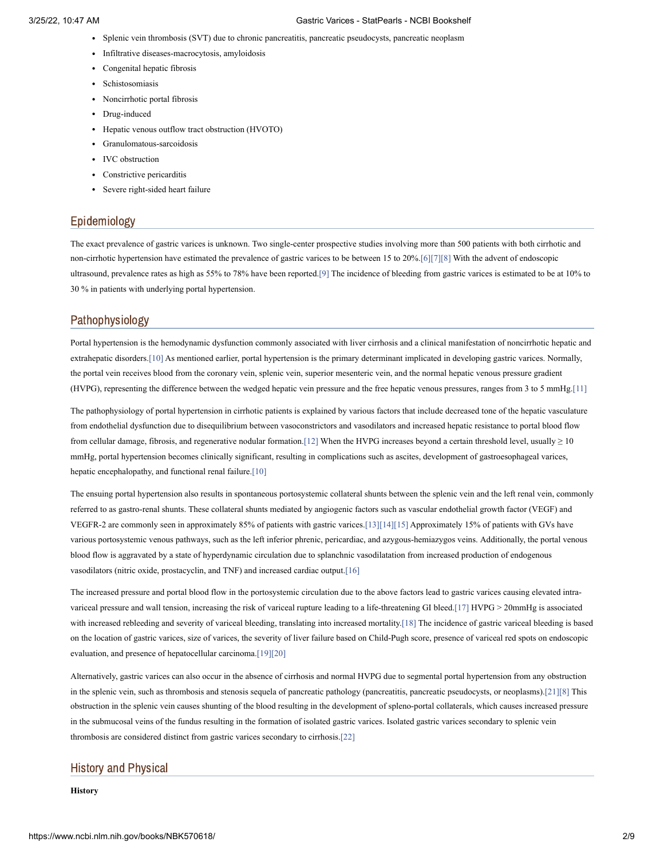- Splenic vein thrombosis (SVT) due to chronic pancreatitis, pancreatic pseudocysts, pancreatic neoplasm
- Infiltrative diseases-macrocytosis, amyloidosis
- Congenital hepatic fibrosis
- Schistosomiasis
- Noncirrhotic portal fibrosis
- Drug-induced
- Hepatic venous outflow tract obstruction (HVOTO)
- Granulomatous-sarcoidosis
- IVC obstruction
- Constrictive pericarditis
- Severe right-sided heart failure

### Epidemiology

The exact prevalence of gastric varices is unknown. Two single-center prospective studies involving more than 500 patients with both cirrhotic and non-cirrhotic hypertension have estimated the prevalence of gastric varices to be between 15 to 20%[.\[6\]](#page-7-5)[\[7\]](#page-7-6)[\[8\]](#page-7-7) With the advent of endoscopic ultrasound, prevalence rates as high as 55% to 78% have been reported[.\[9\]](#page-7-8) The incidence of bleeding from gastric varices is estimated to be at 10% to 30 % in patients with underlying portal hypertension.

### Pathophysiology

Portal hypertension is the hemodynamic dysfunction commonly associated with liver cirrhosis and a clinical manifestation of noncirrhotic hepatic and extrahepatic disorders[.\[10\]](#page-7-9) As mentioned earlier, portal hypertension is the primary determinant implicated in developing gastric varices. Normally, the portal vein receives blood from the coronary vein, splenic vein, superior mesenteric vein, and the normal hepatic venous pressure gradient (HVPG), representing the difference between the wedged hepatic vein pressure and the free hepatic venous pressures, ranges from 3 to 5 mmHg[.\[11\]](#page-7-10)

The pathophysiology of portal hypertension in cirrhotic patients is explained by various factors that include decreased tone of the hepatic vasculature from endothelial dysfunction due to disequilibrium between vasoconstrictors and vasodilators and increased hepatic resistance to portal blood flow from cellular damage, fibrosis, and regenerative nodular formation[.\[12\]](#page-7-11) When the HVPG increases beyond a certain threshold level, usually  $\geq 10$ mmHg, portal hypertension becomes clinically significant, resulting in complications such as ascites, development of gastroesophageal varices, hepatic encephalopathy, and functional renal failure[.\[10\]](#page-7-9)

The ensuing portal hypertension also results in spontaneous portosystemic collateral shunts between the splenic vein and the left renal vein, commonly referred to as gastro-renal shunts. These collateral shunts mediated by angiogenic factors such as vascular endothelial growth factor (VEGF) and VEGFR-2 are commonly seen in approximately 85% of patients with gastric varices[.\[13\]](#page-7-12)[\[14\]](#page-7-13)[\[15\]](#page-7-14) Approximately 15% of patients with GVs have various portosystemic venous pathways, such as the left inferior phrenic, pericardiac, and azygous-hemiazygos veins. Additionally, the portal venous blood flow is aggravated by a state of hyperdynamic circulation due to splanchnic vasodilatation from increased production of endogenous vasodilators (nitric oxide, prostacyclin, and TNF) and increased cardiac output[.\[16\]](#page-7-15)

The increased pressure and portal blood flow in the portosystemic circulation due to the above factors lead to gastric varices causing elevated intravariceal pressure and wall tension, increasing the risk of variceal rupture leading to a life-threatening GI bleed[.\[17\]](#page-7-16) HVPG > 20mmHg is associated with increased rebleeding and severity of variceal bleeding, translating into increased mortality[.\[18\]](#page-7-17) The incidence of gastric variceal bleeding is based on the location of gastric varices, size of varices, the severity of liver failure based on Child-Pugh score, presence of variceal red spots on endoscopic evaluation, and presence of hepatocellular carcinoma[.\[19\]](#page-7-18)[\[20\]](#page-8-0)

Alternatively, gastric varices can also occur in the absence of cirrhosis and normal HVPG due to segmental portal hypertension from any obstruction in the splenic vein, such as thrombosis and stenosis sequela of pancreatic pathology (pancreatitis, pancreatic pseudocysts, or neoplasms)[.\[21\]](#page-8-1)[\[8\]](#page-7-7) This obstruction in the splenic vein causes shunting of the blood resulting in the development of spleno-portal collaterals, which causes increased pressure in the submucosal veins of the fundus resulting in the formation of isolated gastric varices. Isolated gastric varices secondary to splenic vein thrombosis are considered distinct from gastric varices secondary to cirrhosis[.\[22\]](#page-8-2)

### History and Physical

**History**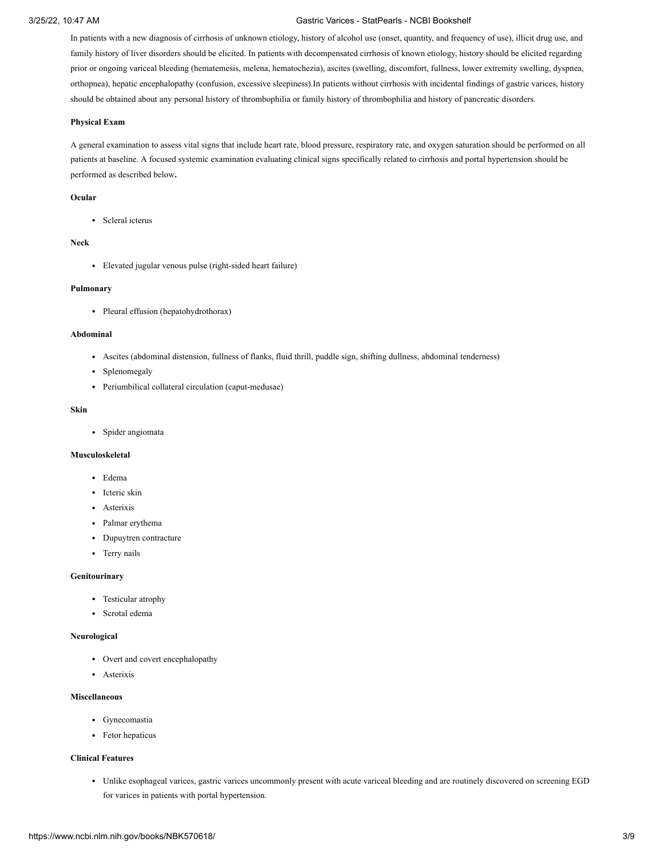In patients with a new diagnosis of cirrhosis of unknown etiology, history of alcohol use (onset, quantity, and frequency of use), illicit drug use, and family history of liver disorders should be elicited. In patients with decompensated cirrhosis of known etiology, history should be elicited regarding prior or ongoing variceal bleeding (hematemesis, melena, hematochezia), ascites (swelling, discomfort, fullness, lower extremity swelling, dyspnea, orthopnea), hepatic encephalopathy (confusion, excessive sleepiness).In patients without cirrhosis with incidental findings of gastric varices, history should be obtained about any personal history of thrombophilia or family history of thrombophilia and history of pancreatic disorders.

#### **Physical Exam**

A general examination to assess vital signs that include heart rate, blood pressure, respiratory rate, and oxygen saturation should be performed on all patients at baseline. A focused systemic examination evaluating clinical signs specifically related to cirrhosis and portal hypertension should be performed as described below**.**

#### **Ocular**

• Scleral icterus

### **Neck**

Elevated jugular venous pulse (right-sided heart failure)

#### **Pulmonary**

• Pleural effusion (hepatohydrothorax)

#### **Abdominal**

- Ascites (abdominal distension, fullness of flanks, fluid thrill, puddle sign, shifting dullness, abdominal tenderness)
- Splenomegaly
- Periumbilical collateral circulation (caput-medusae)

### **Skin**

Spider angiomata

#### **Musculoskeletal**

- Edema
- Icteric skin
- Asterixis
- Palmar erythema
- Dupuytren contracture
- Terry nails

#### **Genitourinary**

- Testicular atrophy
- Scrotal edema

#### **Neurological**

- Overt and covert encephalopathy
- Asterixis

#### **Miscellaneous**

- Gynecomastia
- Fetor hepaticus

### **Clinical Features**

Unlike esophageal varices, gastric varices uncommonly present with acute variceal bleeding and are routinely discovered on screening EGD for varices in patients with portal hypertension.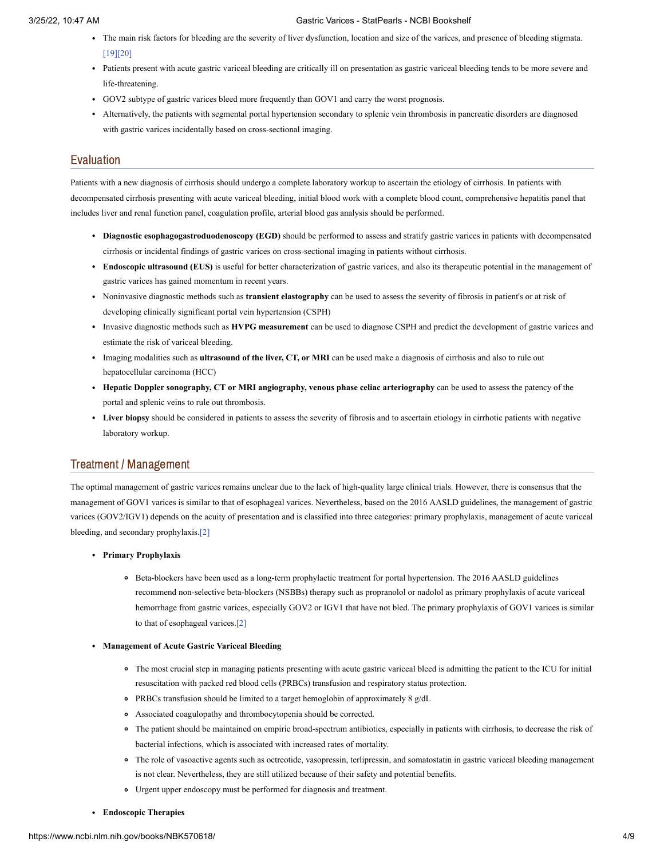- The main risk factors for bleeding are the severity of liver dysfunction, location and size of the varices, and presence of bleeding stigmata. [\[19\]](#page-7-18)[\[20\]](#page-8-0)
- Patients present with acute gastric variceal bleeding are critically ill on presentation as gastric variceal bleeding tends to be more severe and life-threatening.
- GOV2 subtype of gastric varices bleed more frequently than GOV1 and carry the worst prognosis.
- Alternatively, the patients with segmental portal hypertension secondary to splenic vein thrombosis in pancreatic disorders are diagnosed with gastric varices incidentally based on cross-sectional imaging.

### Evaluation

Patients with a new diagnosis of cirrhosis should undergo a complete laboratory workup to ascertain the etiology of cirrhosis. In patients with decompensated cirrhosis presenting with acute variceal bleeding, initial blood work with a complete blood count, comprehensive hepatitis panel that includes liver and renal function panel, coagulation profile, arterial blood gas analysis should be performed.

- **Diagnostic esophagogastroduodenoscopy (EGD)** should be performed to assess and stratify gastric varices in patients with decompensated cirrhosis or incidental findings of gastric varices on cross-sectional imaging in patients without cirrhosis.
- **Endoscopic ultrasound (EUS)** is useful for better characterization of gastric varices, and also its therapeutic potential in the management of gastric varices has gained momentum in recent years.
- Noninvasive diagnostic methods such as **transient elastography** can be used to assess the severity of fibrosis in patient's or at risk of developing clinically significant portal vein hypertension (CSPH)
- Invasive diagnostic methods such as **HVPG measurement** can be used to diagnose CSPH and predict the development of gastric varices and estimate the risk of variceal bleeding.
- Imaging modalities such as **ultrasound of the liver, CT, or MRI** can be used make a diagnosis of cirrhosis and also to rule out hepatocellular carcinoma (HCC)
- **Hepatic Doppler sonography, CT or MRI angiography, venous phase celiac arteriography** can be used to assess the patency of the portal and splenic veins to rule out thrombosis.
- **Liver biopsy** should be considered in patients to assess the severity of fibrosis and to ascertain etiology in cirrhotic patients with negative laboratory workup.

### Treatment / Management

The optimal management of gastric varices remains unclear due to the lack of high-quality large clinical trials. However, there is consensus that the management of GOV1 varices is similar to that of esophageal varices. Nevertheless, based on the 2016 AASLD guidelines, the management of gastric varices (GOV2/IGV1) depends on the acuity of presentation and is classified into three categories: primary prophylaxis, management of acute variceal bleeding, and secondary prophylaxis[.\[2\]](#page-7-1)

- **Primary Prophylaxis**
	- Beta-blockers have been used as a long-term prophylactic treatment for portal hypertension. The 2016 AASLD guidelines recommend non-selective beta-blockers (NSBBs) therapy such as propranolol or nadolol as primary prophylaxis of acute variceal hemorrhage from gastric varices, especially GOV2 or IGV1 that have not bled. The primary prophylaxis of GOV1 varices is similar to that of esophageal varices[.\[2\]](#page-7-1)
- **Management of Acute Gastric Variceal Bleeding**
	- The most crucial step in managing patients presenting with acute gastric variceal bleed is admitting the patient to the ICU for initial resuscitation with packed red blood cells (PRBCs) transfusion and respiratory status protection.
	- PRBCs transfusion should be limited to a target hemoglobin of approximately 8 g/dL
	- Associated coagulopathy and thrombocytopenia should be corrected.
	- The patient should be maintained on empiric broad-spectrum antibiotics, especially in patients with cirrhosis, to decrease the risk of bacterial infections, which is associated with increased rates of mortality.
	- The role of vasoactive agents such as octreotide, vasopressin, terlipressin, and somatostatin in gastric variceal bleeding management is not clear. Nevertheless, they are still utilized because of their safety and potential benefits.
	- Urgent upper endoscopy must be performed for diagnosis and treatment.
- **Endoscopic Therapies**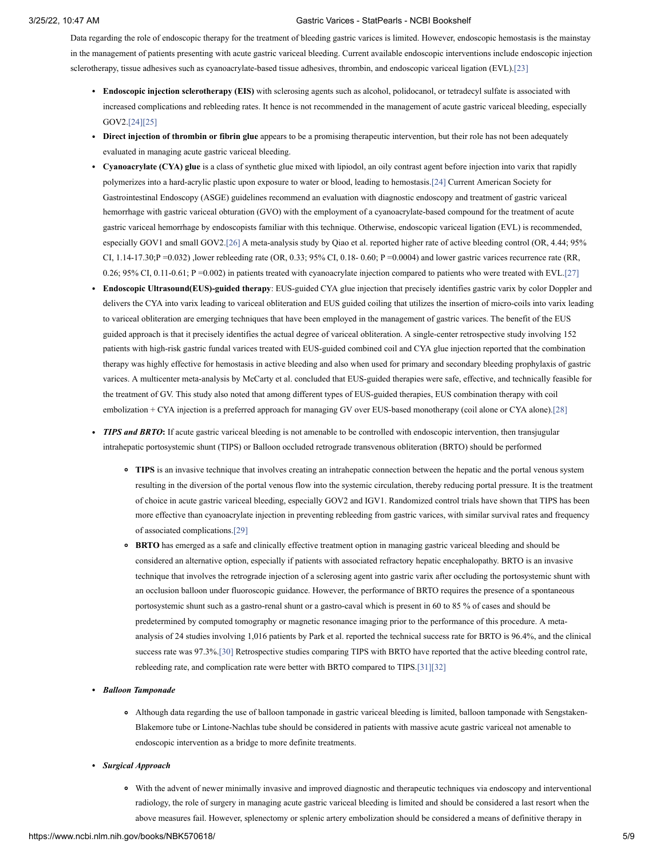Data regarding the role of endoscopic therapy for the treatment of bleeding gastric varices is limited. However, endoscopic hemostasis is the mainstay in the management of patients presenting with acute gastric variceal bleeding. Current available endoscopic interventions include endoscopic injection sclerotherapy, tissue adhesives such as cyanoacrylate-based tissue adhesives, thrombin, and endoscopic variceal ligation (EVL)[.\[23\]](#page-8-3)

- **Endoscopic injection sclerotherapy (EIS)** with sclerosing agents such as alcohol, polidocanol, or tetradecyl sulfate is associated with increased complications and rebleeding rates. It hence is not recommended in the management of acute gastric variceal bleeding, especially GOV2[.\[24\]](#page-8-4)[\[25\]](#page-8-5)
- **Direct injection of thrombin or fibrin glue** appears to be a promising therapeutic intervention, but their role has not been adequately evaluated in managing acute gastric variceal bleeding.
- **Cyanoacrylate (CYA) glue** is a class of synthetic glue mixed with lipiodol, an oily contrast agent before injection into varix that rapidly polymerizes into a hard-acrylic plastic upon exposure to water or blood, leading to hemostasis[.\[24\]](#page-8-4) Current American Society for Gastrointestinal Endoscopy (ASGE) guidelines recommend an evaluation with diagnostic endoscopy and treatment of gastric variceal hemorrhage with gastric variceal obturation (GVO) with the employment of a cyanoacrylate-based compound for the treatment of acute gastric variceal hemorrhage by endoscopists familiar with this technique. Otherwise, endoscopic variceal ligation (EVL) is recommended, especially GOV1 and small GOV2[.\[26\]](#page-8-6) A meta-analysis study by Qiao et al. reported higher rate of active bleeding control (OR, 4.44; 95% CI, 1.14-17.30;P =0.032) ,lower rebleeding rate (OR, 0.33; 95% CI, 0.18- 0.60; P =0.0004) and lower gastric varices recurrence rate (RR, 0.26; 95% CI, 0.11-0.61; P =0.002) in patients treated with cyanoacrylate injection compared to patients who were treated with EVL.[\[27\]](#page-8-7)
- **Endoscopic Ultrasound(EUS)-guided therapy**: EUS-guided CYA glue injection that precisely identifies gastric varix by color Doppler and delivers the CYA into varix leading to variceal obliteration and EUS guided coiling that utilizes the insertion of micro-coils into varix leading to variceal obliteration are emerging techniques that have been employed in the management of gastric varices. The benefit of the EUS guided approach is that it precisely identifies the actual degree of variceal obliteration. A single-center retrospective study involving 152 patients with high-risk gastric fundal varices treated with EUS-guided combined coil and CYA glue injection reported that the combination therapy was highly effective for hemostasis in active bleeding and also when used for primary and secondary bleeding prophylaxis of gastric varices. A multicenter meta-analysis by McCarty et al. concluded that EUS-guided therapies were safe, effective, and technically feasible for the treatment of GV. This study also noted that among different types of EUS-guided therapies, EUS combination therapy with coil embolization + CYA injection is a preferred approach for managing GV over EUS-based monotherapy (coil alone or CYA alone)[.\[28\]](#page-8-8)
- **TIPS and BRTO:** If acute gastric variceal bleeding is not amenable to be controlled with endoscopic intervention, then transjugular intrahepatic portosystemic shunt (TIPS) or Balloon occluded retrograde transvenous obliteration (BRTO) should be performed
	- **TIPS** is an invasive technique that involves creating an intrahepatic connection between the hepatic and the portal venous system resulting in the diversion of the portal venous flow into the systemic circulation, thereby reducing portal pressure. It is the treatment of choice in acute gastric variceal bleeding, especially GOV2 and IGV1. Randomized control trials have shown that TIPS has been more effective than cyanoacrylate injection in preventing rebleeding from gastric varices, with similar survival rates and frequency of associated complications[.\[29\]](#page-8-9)
	- **BRTO** has emerged as a safe and clinically effective treatment option in managing gastric variceal bleeding and should be considered an alternative option, especially if patients with associated refractory hepatic encephalopathy. BRTO is an invasive technique that involves the retrograde injection of a sclerosing agent into gastric varix after occluding the portosystemic shunt with an occlusion balloon under fluoroscopic guidance. However, the performance of BRTO requires the presence of a spontaneous portosystemic shunt such as a gastro-renal shunt or a gastro-caval which is present in 60 to 85 % of cases and should be predetermined by computed tomography or magnetic resonance imaging prior to the performance of this procedure. A metaanalysis of 24 studies involving 1,016 patients by Park et al. reported the technical success rate for BRTO is 96.4%, and the clinical success rate was 97.3%[.\[30\]](#page-8-10) Retrospective studies comparing TIPS with BRTO have reported that the active bleeding control rate, rebleeding rate, and complication rate were better with BRTO compared to TIPS[.\[31\]](#page-8-11)[\[32\]](#page-8-12)
- *Balloon Tamponade*
	- Although data regarding the use of balloon tamponade in gastric variceal bleeding is limited, balloon tamponade with Sengstaken-Blakemore tube or Lintone-Nachlas tube should be considered in patients with massive acute gastric variceal not amenable to endoscopic intervention as a bridge to more definite treatments.
- *Surgical Approach*
	- With the advent of newer minimally invasive and improved diagnostic and therapeutic techniques via endoscopy and interventional radiology, the role of surgery in managing acute gastric variceal bleeding is limited and should be considered a last resort when the above measures fail. However, splenectomy or splenic artery embolization should be considered a means of definitive therapy in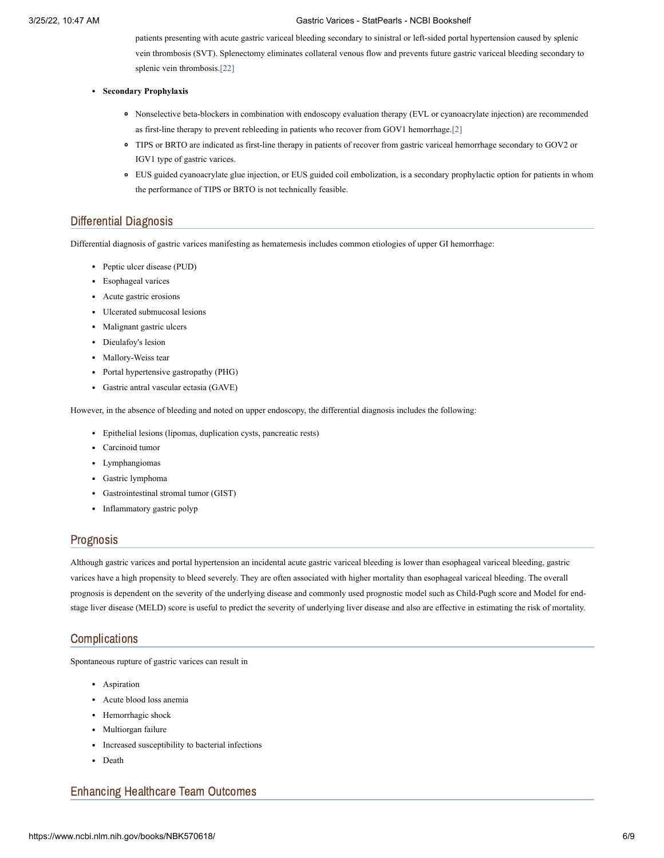patients presenting with acute gastric variceal bleeding secondary to sinistral or left-sided portal hypertension caused by splenic vein thrombosis (SVT). Splenectomy eliminates collateral venous flow and prevents future gastric variceal bleeding secondary to splenic vein thrombosis.[\[22\]](#page-8-2)

- **Secondary Prophylaxis**
	- Nonselective beta-blockers in combination with endoscopy evaluation therapy (EVL or cyanoacrylate injection) are recommended as first-line therapy to prevent rebleeding in patients who recover from GOV1 hemorrhage.[\[2\]](#page-7-1)
	- TIPS or BRTO are indicated as first-line therapy in patients of recover from gastric variceal hemorrhage secondary to GOV2 or IGV1 type of gastric varices.
	- EUS guided cyanoacrylate glue injection, or EUS guided coil embolization, is a secondary prophylactic option for patients in whom the performance of TIPS or BRTO is not technically feasible.

### Differential Diagnosis

Differential diagnosis of gastric varices manifesting as hematemesis includes common etiologies of upper GI hemorrhage:

- Peptic ulcer disease (PUD)
- Esophageal varices
- Acute gastric erosions
- Ulcerated submucosal lesions
- Malignant gastric ulcers
- Dieulafoy's lesion
- Mallory-Weiss tear
- Portal hypertensive gastropathy (PHG)
- Gastric antral vascular ectasia (GAVE)

However, in the absence of bleeding and noted on upper endoscopy, the differential diagnosis includes the following:

- Epithelial lesions (lipomas, duplication cysts, pancreatic rests)
- Carcinoid tumor
- Lymphangiomas
- Gastric lymphoma
- Gastrointestinal stromal tumor (GIST)
- Inflammatory gastric polyp

### Prognosis

Although gastric varices and portal hypertension an incidental acute gastric variceal bleeding is lower than esophageal variceal bleeding, gastric varices have a high propensity to bleed severely. They are often associated with higher mortality than esophageal variceal bleeding. The overall prognosis is dependent on the severity of the underlying disease and commonly used prognostic model such as Child-Pugh score and Model for endstage liver disease (MELD) score is useful to predict the severity of underlying liver disease and also are effective in estimating the risk of mortality.

### **Complications**

Spontaneous rupture of gastric varices can result in

- Aspiration
- Acute blood loss anemia
- Hemorrhagic shock
- Multiorgan failure
- Increased susceptibility to bacterial infections
- Death

### Enhancing Healthcare Team Outcomes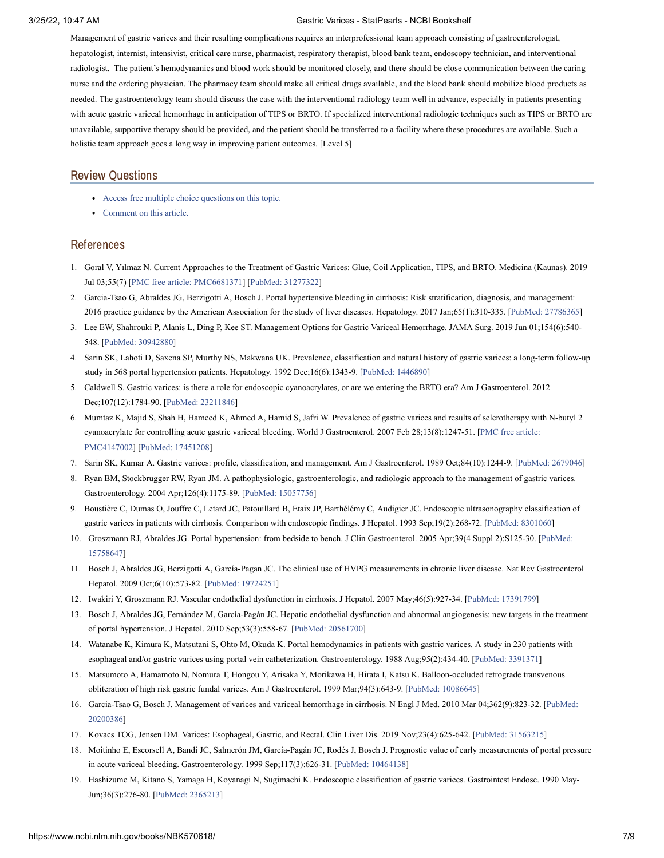Management of gastric varices and their resulting complications requires an interprofessional team approach consisting of gastroenterologist, hepatologist, internist, intensivist, critical care nurse, pharmacist, respiratory therapist, blood bank team, endoscopy technician, and interventional radiologist. The patient's hemodynamics and blood work should be monitored closely, and there should be close communication between the caring nurse and the ordering physician. The pharmacy team should make all critical drugs available, and the blood bank should mobilize blood products as needed. The gastroenterology team should discuss the case with the interventional radiology team well in advance, especially in patients presenting with acute gastric variceal hemorrhage in anticipation of TIPS or BRTO. If specialized interventional radiologic techniques such as TIPS or BRTO are unavailable, supportive therapy should be provided, and the patient should be transferred to a facility where these procedures are available. Such a holistic team approach goes a long way in improving patient outcomes. [Level 5]

### Review Questions

- Access free multiple choice [questions](https://www.statpearls.com/account/trialuserreg/?articleid=130650&utm_source=pubmed&utm_campaign=reviews&utm_content=130650) on this topic.
- [Comment](https://www.statpearls.com/articlelibrary/commentarticle/130650/?utm_source=pubmed&utm_campaign=comments&utm_content=130650) on this article.

### References

- <span id="page-7-0"></span>1. Goral V, Yılmaz N. Current Approaches to the Treatment of Gastric Varices: Glue, Coil Application, TIPS, and BRTO. Medicina (Kaunas). 2019 Jul 03;55(7) [PMC free article: [PMC6681371](https://www.ncbi.nlm.nih.gov/pmc/articles/PMC6681371/?report=reader)] [PubMed: [31277322](https://www.ncbi.nlm.nih.gov/pubmed/31277322)]
- <span id="page-7-1"></span>2. Garcia-Tsao G, Abraldes JG, Berzigotti A, Bosch J. Portal hypertensive bleeding in cirrhosis: Risk stratification, diagnosis, and management: 2016 practice guidance by the American Association for the study of liver diseases. Hepatology. 2017 Jan;65(1):310-335. [PubMed: [27786365](https://www.ncbi.nlm.nih.gov/pubmed/27786365)]
- <span id="page-7-2"></span>3. Lee EW, Shahrouki P, Alanis L, Ding P, Kee ST. Management Options for Gastric Variceal Hemorrhage. JAMA Surg. 2019 Jun 01;154(6):540- 548. [PubMed: [30942880\]](https://www.ncbi.nlm.nih.gov/pubmed/30942880)
- <span id="page-7-3"></span>4. Sarin SK, Lahoti D, Saxena SP, Murthy NS, Makwana UK. Prevalence, classification and natural history of gastric varices: a long-term follow-up study in 568 portal hypertension patients. Hepatology. 1992 Dec;16(6):1343-9. [[PubMed:](https://www.ncbi.nlm.nih.gov/pubmed/1446890) 1446890]
- <span id="page-7-4"></span>5. Caldwell S. Gastric varices: is there a role for endoscopic cyanoacrylates, or are we entering the BRTO era? Am J Gastroenterol. 2012 Dec;107(12):1784-90. [PubMed: [23211846](https://www.ncbi.nlm.nih.gov/pubmed/23211846)]
- <span id="page-7-5"></span>6. Mumtaz K, Majid S, Shah H, Hameed K, Ahmed A, Hamid S, Jafri W. Prevalence of gastric varices and results of sclerotherapy with N-butyl 2 cyanoacrylate for controlling acute gastric variceal bleeding. World J Gastroenterol. 2007 Feb [28;13\(8\):1247-51.](https://www.ncbi.nlm.nih.gov/pmc/articles/PMC4147002/?report=reader) [PMC free article: PMC4147002] [PubMed: [17451208](https://www.ncbi.nlm.nih.gov/pubmed/17451208)]
- <span id="page-7-6"></span>7. Sarin SK, Kumar A. Gastric varices: profile, classification, and management. Am J Gastroenterol. 1989 Oct;84(10):1244-9. [[PubMed:](https://www.ncbi.nlm.nih.gov/pubmed/2679046) 2679046]
- <span id="page-7-7"></span>8. Ryan BM, Stockbrugger RW, Ryan JM. A pathophysiologic, gastroenterologic, and radiologic approach to the management of gastric varices. Gastroenterology. 2004 Apr;126(4):1175-89. [PubMed: [15057756](https://www.ncbi.nlm.nih.gov/pubmed/15057756)]
- <span id="page-7-8"></span>9. Boustière C, Dumas O, Jouffre C, Letard JC, Patouillard B, Etaix JP, Barthélémy C, Audigier JC. Endoscopic ultrasonography classification of gastric varices in patients with cirrhosis. Comparison with endoscopic findings. J Hepatol. 1993 Sep;19(2):268-72. [[PubMed:](https://www.ncbi.nlm.nih.gov/pubmed/8301060) 8301060]
- <span id="page-7-9"></span>10. Groszmann RJ, Abraldes JG. Portal hypertension: from bedside to bench. J Clin [Gastroenterol.](https://www.ncbi.nlm.nih.gov/pubmed/15758647) 2005 Apr;39(4 Suppl 2):S125-30. [PubMed: 15758647]
- <span id="page-7-10"></span>11. Bosch J, Abraldes JG, Berzigotti A, García-Pagan JC. The clinical use of HVPG measurements in chronic liver disease. Nat Rev Gastroenterol Hepatol. 2009 Oct;6(10):573-82. [PubMed: [19724251\]](https://www.ncbi.nlm.nih.gov/pubmed/19724251)
- <span id="page-7-11"></span>12. Iwakiri Y, Groszmann RJ. Vascular endothelial dysfunction in cirrhosis. J Hepatol. 2007 May;46(5):927-34. [PubMed: [17391799\]](https://www.ncbi.nlm.nih.gov/pubmed/17391799)
- <span id="page-7-12"></span>13. Bosch J, Abraldes JG, Fernández M, García-Pagán JC. Hepatic endothelial dysfunction and abnormal angiogenesis: new targets in the treatment of portal hypertension. J Hepatol. 2010 Sep;53(3):558-67. [PubMed: [20561700\]](https://www.ncbi.nlm.nih.gov/pubmed/20561700)
- <span id="page-7-13"></span>14. Watanabe K, Kimura K, Matsutani S, Ohto M, Okuda K. Portal hemodynamics in patients with gastric varices. A study in 230 patients with esophageal and/or gastric varices using portal vein catheterization. Gastroenterology. 1988 Aug;95(2):434-40. [[PubMed:](https://www.ncbi.nlm.nih.gov/pubmed/3391371) 3391371]
- <span id="page-7-14"></span>15. Matsumoto A, Hamamoto N, Nomura T, Hongou Y, Arisaka Y, Morikawa H, Hirata I, Katsu K. Balloon-occluded retrograde transvenous obliteration of high risk gastric fundal varices. Am J Gastroenterol. 1999 Mar;94(3):643-9. [PubMed: [10086645\]](https://www.ncbi.nlm.nih.gov/pubmed/10086645)
- <span id="page-7-15"></span>16. Garcia-Tsao G, Bosch J. Management of varices and variceal hemorrhage in cirrhosis. N Engl J Med. 2010 Mar [04;362\(9\):823-32.](https://www.ncbi.nlm.nih.gov/pubmed/20200386) [PubMed: 20200386]
- <span id="page-7-16"></span>17. Kovacs TOG, Jensen DM. Varices: Esophageal, Gastric, and Rectal. Clin Liver Dis. 2019 Nov;23(4):625-642. [PubMed: [31563215](https://www.ncbi.nlm.nih.gov/pubmed/31563215)]
- <span id="page-7-17"></span>18. Moitinho E, Escorsell A, Bandi JC, Salmerón JM, García-Pagán JC, Rodés J, Bosch J. Prognostic value of early measurements of portal pressure in acute variceal bleeding. Gastroenterology. 1999 Sep;117(3):626-31. [PubMed: [10464138\]](https://www.ncbi.nlm.nih.gov/pubmed/10464138)
- <span id="page-7-18"></span>19. Hashizume M, Kitano S, Yamaga H, Koyanagi N, Sugimachi K. Endoscopic classification of gastric varices. Gastrointest Endosc. 1990 May-Jun;36(3):276-80. [[PubMed:](https://www.ncbi.nlm.nih.gov/pubmed/2365213) 2365213]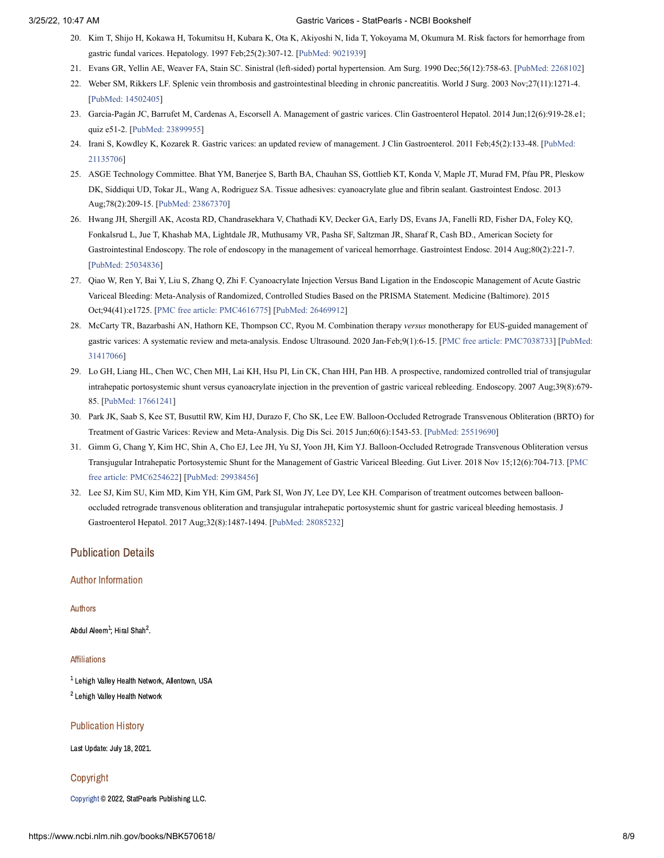- <span id="page-8-0"></span>20. Kim T, Shijo H, Kokawa H, Tokumitsu H, Kubara K, Ota K, Akiyoshi N, Iida T, Yokoyama M, Okumura M. Risk factors for hemorrhage from gastric fundal varices. Hepatology. 1997 Feb;25(2):307-12. [[PubMed:](https://www.ncbi.nlm.nih.gov/pubmed/9021939) 9021939]
- <span id="page-8-1"></span>21. Evans GR, Yellin AE, Weaver FA, Stain SC. Sinistral (left-sided) portal hypertension. Am Surg. 1990 Dec;56(12):758-63. [[PubMed:](https://www.ncbi.nlm.nih.gov/pubmed/2268102) 2268102]
- <span id="page-8-2"></span>22. Weber SM, Rikkers LF. Splenic vein thrombosis and gastrointestinal bleeding in chronic pancreatitis. World J Surg. 2003 Nov;27(11):1271-4. [PubMed: [14502405\]](https://www.ncbi.nlm.nih.gov/pubmed/14502405)
- <span id="page-8-3"></span>23. Garcia-Pagán JC, Barrufet M, Cardenas A, Escorsell A. Management of gastric varices. Clin Gastroenterol Hepatol. 2014 Jun;12(6):919-28.e1; quiz e51-2. [PubMed: [23899955\]](https://www.ncbi.nlm.nih.gov/pubmed/23899955)
- <span id="page-8-4"></span>24. Irani S, Kowdley K, Kozarek R. Gastric varices: an updated review of management. J Clin Gastroenterol. 2011 [Feb;45\(2\):133-48.](https://www.ncbi.nlm.nih.gov/pubmed/21135706) [PubMed: 21135706]
- <span id="page-8-5"></span>25. ASGE Technology Committee. Bhat YM, Banerjee S, Barth BA, Chauhan SS, Gottlieb KT, Konda V, Maple JT, Murad FM, Pfau PR, Pleskow DK, Siddiqui UD, Tokar JL, Wang A, Rodriguez SA. Tissue adhesives: cyanoacrylate glue and fibrin sealant. Gastrointest Endosc. 2013 Aug;78(2):209-15. [PubMed: [23867370\]](https://www.ncbi.nlm.nih.gov/pubmed/23867370)
- <span id="page-8-6"></span>26. Hwang JH, Shergill AK, Acosta RD, Chandrasekhara V, Chathadi KV, Decker GA, Early DS, Evans JA, Fanelli RD, Fisher DA, Foley KQ, Fonkalsrud L, Jue T, Khashab MA, Lightdale JR, Muthusamy VR, Pasha SF, Saltzman JR, Sharaf R, Cash BD., American Society for Gastrointestinal Endoscopy. The role of endoscopy in the management of variceal hemorrhage. Gastrointest Endosc. 2014 Aug;80(2):221-7. [PubMed: [25034836\]](https://www.ncbi.nlm.nih.gov/pubmed/25034836)
- <span id="page-8-7"></span>27. Qiao W, Ren Y, Bai Y, Liu S, Zhang Q, Zhi F. Cyanoacrylate Injection Versus Band Ligation in the Endoscopic Management of Acute Gastric Variceal Bleeding: Meta-Analysis of Randomized, Controlled Studies Based on the PRISMA Statement. Medicine (Baltimore). 2015 Oct;94(41):e1725. [PMC free article: [PMC4616775](https://www.ncbi.nlm.nih.gov/pmc/articles/PMC4616775/?report=reader)] [PubMed: [26469912\]](https://www.ncbi.nlm.nih.gov/pubmed/26469912)
- <span id="page-8-8"></span>28. McCarty TR, Bazarbashi AN, Hathorn KE, Thompson CC, Ryou M. Combination therapy *versus* monotherapy for EUS-guided management of gastric varices: A systematic review and meta-analysis. Endosc Ultrasound. 2020 [Jan-Feb;9\(1\):6-15.](https://www.ncbi.nlm.nih.gov/pubmed/31417066) [PMC free article: [PMC7038733](https://www.ncbi.nlm.nih.gov/pmc/articles/PMC7038733/?report=reader)] [PubMed: 31417066]
- <span id="page-8-9"></span>29. Lo GH, Liang HL, Chen WC, Chen MH, Lai KH, Hsu PI, Lin CK, Chan HH, Pan HB. A prospective, randomized controlled trial of transjugular intrahepatic portosystemic shunt versus cyanoacrylate injection in the prevention of gastric variceal rebleeding. Endoscopy. 2007 Aug;39(8):679- 85. [PubMed: [17661241\]](https://www.ncbi.nlm.nih.gov/pubmed/17661241)
- <span id="page-8-10"></span>30. Park JK, Saab S, Kee ST, Busuttil RW, Kim HJ, Durazo F, Cho SK, Lee EW. Balloon-Occluded Retrograde Transvenous Obliteration (BRTO) for Treatment of Gastric Varices: Review and Meta-Analysis. Dig Dis Sci. 2015 Jun;60(6):1543-53. [PubMed: [25519690](https://www.ncbi.nlm.nih.gov/pubmed/25519690)]
- <span id="page-8-11"></span>31. Gimm G, Chang Y, Kim HC, Shin A, Cho EJ, Lee JH, Yu SJ, Yoon JH, Kim YJ. Balloon-Occluded Retrograde Transvenous Obliteration versus Transjugular Intrahepatic Portosystemic Shunt for the Management of Gastric Variceal Bleeding. Gut Liver. 2018 Nov [15;12\(6\):704-713.](https://www.ncbi.nlm.nih.gov/pmc/articles/PMC6254622/?report=reader) [PMC free article: PMC6254622] [PubMed: [29938456](https://www.ncbi.nlm.nih.gov/pubmed/29938456)]
- <span id="page-8-12"></span>32. Lee SJ, Kim SU, Kim MD, Kim YH, Kim GM, Park SI, Won JY, Lee DY, Lee KH. Comparison of treatment outcomes between balloonoccluded retrograde transvenous obliteration and transjugular intrahepatic portosystemic shunt for gastric variceal bleeding hemostasis. J Gastroenterol Hepatol. 2017 Aug;32(8):1487-1494. [PubMed: [28085232\]](https://www.ncbi.nlm.nih.gov/pubmed/28085232)

### Publication Details

### Author Information

Authors

Abdul Aleem $^1$ : Hiral Shah $^2$ .

#### Affiliations

 $^{\text{1}}$  Lehigh Valley Health Network, Allentown, USA <sup>2</sup> Lehigh Valley Health Network

Publication History

Last Update: July 18, 2021.

Copyright

[Copyright](https://www.ncbi.nlm.nih.gov/books/about/copyright/) © 2022, StatPearls Publishing LLC.